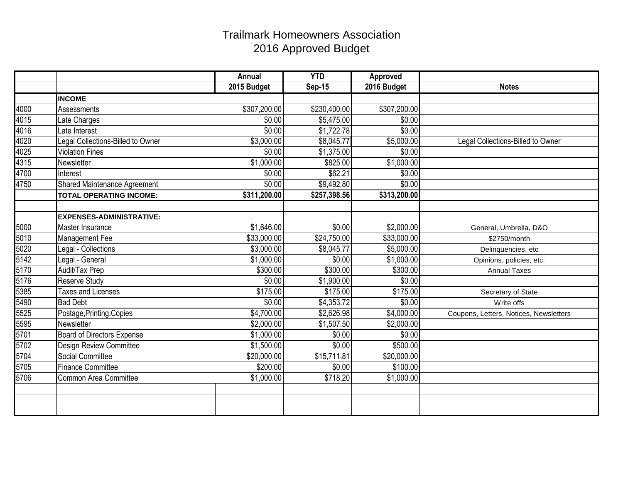## Trailmark Homeowners Association 2016 Approved Budget

|                                        |                                   | Annual             | <b>YTD</b>    | <b>Approved</b>      |                                        |
|----------------------------------------|-----------------------------------|--------------------|---------------|----------------------|----------------------------------------|
|                                        |                                   | 2015 Budget        | <b>Sep-15</b> | 2016 Budget          | <b>Notes</b>                           |
|                                        | <b>INCOME</b>                     |                    |               |                      |                                        |
| 4000                                   | Assessments                       | \$307,200.00       | \$230,400.00  | \$307,200.00         |                                        |
| 4015                                   | Late Charges                      | \$0.00             | \$5,475.00    | \$0.00               |                                        |
|                                        | Late Interest                     | \$0.00             | \$1,722.78    | \$0.00               |                                        |
| 4016<br>4020                           | Legal Collections-Billed to Owner | \$3,000.00         | \$8,045.77    | \$5,000.00           | Legal Collections-Billed to Owner      |
| 4025                                   | <b>Violation Fines</b>            | \$0.00             | \$1,375.00    | \$0.00               |                                        |
| 4315<br>4700                           | Newsletter                        | $\sqrt{$1,000.00}$ | \$825.00      | \$1,000.00           |                                        |
|                                        | Interest                          | \$0.00             | \$62.21       | \$0.00               |                                        |
| 4750                                   | Shared Maintenance Agreement      | \$0.00             | \$9,492.80    | \$0.00               |                                        |
|                                        | <b>TOTAL OPERATING INCOME:</b>    | \$311,200.00       | \$257,398.56  | \$313,200.00         |                                        |
|                                        |                                   |                    |               |                      |                                        |
|                                        | <b>EXPENSES-ADMINISTRATIVE:</b>   |                    |               |                      |                                        |
| 5000<br>5010                           | Master Insurance                  | \$1,646.00         | \$0.00        | \$2,000.00           | General, Umbrella, D&O                 |
|                                        | Management Fee                    | \$33,000.00        | \$24,750.00   | \$33,000.00          | \$2750/month                           |
| 5020                                   | Legal - Collections               | \$3,000.00         | \$8,045.77    | \$5,000.00           | Delinquencies, etc                     |
| $\frac{512}{5142}$ $\frac{5170}{5176}$ | Legal - General                   | \$1,000.00         | \$0.00        | \$1,000.00           | Opinions, policies, etc.               |
|                                        | Audit/Tax Prep                    | \$300.00           | \$300.00      | \$300.00             | <b>Annual Taxes</b>                    |
|                                        | Reserve Study                     | \$0.00             | \$1,900.00    | \$0.00               |                                        |
| 5385<br>5490                           | Taxes and Licenses                | \$175.00           | \$175.00      | \$175.00             | Secretary of State                     |
|                                        | <b>Bad Debt</b>                   | \$0.00             | \$4,353.72    | \$0.00               | Write offs                             |
| 5525                                   | Postage, Printing, Copies         | \$4,700.00         | \$2,626.98    | \$4,000.00           | Coupons, Letters, Notices, Newsletters |
| 5595                                   | Newsletter                        | \$2,000.00         | \$1,507.50    | \$2,000.00           |                                        |
| 5701                                   | Board of Directors Expense        | \$1,000.00         | \$0.00        | \$0.00               |                                        |
| 5702                                   | Design Review Committee           | \$1,500.00         | \$0.00        | \$500.00             |                                        |
| 5704                                   | Social Committee                  | \$20,000.00        | \$15,711.81   | \$20,000.00          |                                        |
| 5705                                   | <b>Finance Committee</b>          | \$200.00           | \$0.00        | $\overline{$100.00}$ |                                        |
| 5706                                   | Common Area Committee             | \$1,000.00         | \$718.20      | \$1,000.00           |                                        |
|                                        |                                   |                    |               |                      |                                        |
|                                        |                                   |                    |               |                      |                                        |
|                                        |                                   |                    |               |                      |                                        |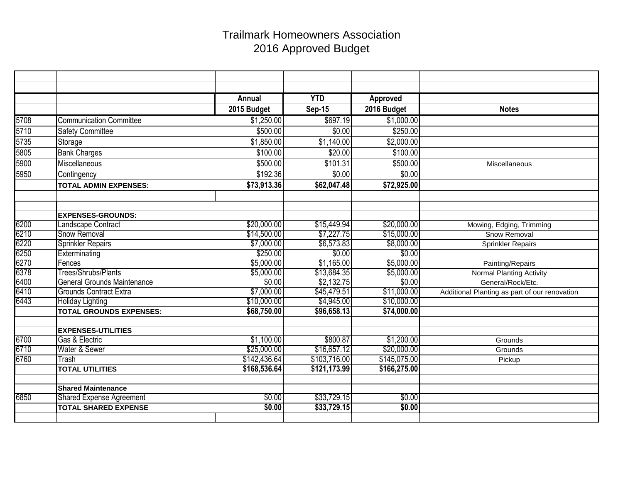## Trailmark Homeowners Association 2016 Approved Budget

|              |                                    | Annual       | <b>YTD</b>              | Approved                |                                               |
|--------------|------------------------------------|--------------|-------------------------|-------------------------|-----------------------------------------------|
|              |                                    | 2015 Budget  | <b>Sep-15</b>           | 2016 Budget             | <b>Notes</b>                                  |
| 5708         | <b>Communication Committee</b>     | \$1,250.00   | \$697.19                | \$1,000.00              |                                               |
| 5710         | <b>Safety Committee</b>            | \$500.00     | \$0.00                  | \$250.00                |                                               |
| 5735         | Storage                            | \$1,850.00   | $\overline{\$1,140.00}$ | \$2,000.00              |                                               |
| 5805         | <b>Bank Charges</b>                | \$100.00     | \$20.00                 | \$100.00                |                                               |
| 5900         | Miscellaneous                      | \$500.00     | \$101.31                | \$500.00                | Miscellaneous                                 |
| 5950         | Contingency                        | \$192.36     | \$0.00                  | \$0.00                  |                                               |
|              | <b>TOTAL ADMIN EXPENSES:</b>       | \$73,913.36  | \$62,047.48             | $\overline{$}72,925.00$ |                                               |
|              |                                    |              |                         |                         |                                               |
|              |                                    |              |                         |                         |                                               |
|              | <b>EXPENSES-GROUNDS:</b>           |              |                         |                         |                                               |
| 6200         | Landscape Contract                 | \$20,000.00  | \$15,449.94             | \$20,000.00             | Mowing, Edging, Trimming                      |
| 6210         | <b>Snow Removal</b>                | \$14,500.00  | \$7,227.75              | \$15,000.00             | Snow Removal                                  |
| 6220         | <b>Sprinkler Repairs</b>           | \$7,000.00   | \$6,573.83              | \$8,000.00              | <b>Sprinkler Repairs</b>                      |
| 6250         | Exterminating                      | \$250.00     | \$0.00                  | \$0.00                  |                                               |
| 6270         | Fences                             | \$5,000.00   | \$1,165.00              | \$5,000.00              | Painting/Repairs                              |
| 6378         | Trees/Shrubs/Plants                | \$5,000.00   | \$13,684.35             | \$5,000.00              | <b>Normal Planting Activity</b>               |
| 6400         | <b>General Grounds Maintenance</b> | \$0.00       | \$2,132.75              | \$0.00                  | General/Rock/Etc.                             |
| 6410         | <b>Grounds Contract Extra</b>      | \$7,000.00   | \$45,479.51             | \$11,000.00             | Additional Planting as part of our renovation |
| 6443         | <b>Holiday Lighting</b>            | \$10,000.00  | \$4,945.00              | \$10,000.00             |                                               |
|              | <b>TOTAL GROUNDS EXPENSES:</b>     | \$68,750.00  | \$96,658.13             | \$74,000.00             |                                               |
|              |                                    |              |                         |                         |                                               |
|              | <b>EXPENSES-UTILITIES</b>          |              |                         |                         |                                               |
| 6700<br>6710 | Gas & Electric                     | \$1,100.00   | \$800.87                | \$1,200.00              | Grounds                                       |
|              | Water & Sewer                      | \$25,000.00  | \$16,657.12             | \$20,000.00             | Grounds                                       |
| 6760         | Trash                              | \$142,436.64 | \$103,716.00            | \$145,075.00            | Pickup                                        |
|              | <b>TOTAL UTILITIES</b>             | \$168,536.64 | \$121,173.99            | \$166,275.00            |                                               |
|              |                                    |              |                         |                         |                                               |
|              | <b>Shared Maintenance</b>          |              |                         |                         |                                               |
| 6850         | <b>Shared Expense Agreement</b>    | \$0.00       | \$33,729.15             | \$0.00                  |                                               |
|              | <b>TOTAL SHARED EXPENSE</b>        | \$0.00       | \$33,729.15             | \$0.00                  |                                               |
|              |                                    |              |                         |                         |                                               |